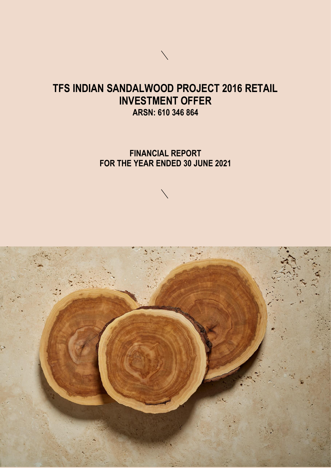# **TFS INDIAN SANDALWOOD PROJECT 2016 RETAIL INVESTMENT OFFER ARSN: 610 346 864**

**FINANCIAL REPORT FOR THE YEAR ENDED 30 JUNE 2021**



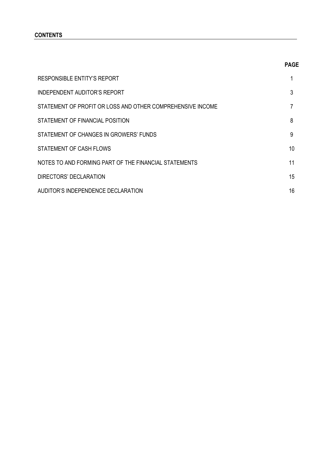# **CONTENTS**

| ٦<br>w<br>۰. |
|--------------|
|--------------|

| RESPONSIBLE ENTITY'S REPORT                                |    |
|------------------------------------------------------------|----|
| INDEPENDENT AUDITOR'S REPORT                               | 3  |
| STATEMENT OF PROFIT OR LOSS AND OTHER COMPREHENSIVE INCOME | 7  |
| STATEMENT OF FINANCIAL POSITION                            | 8  |
| STATEMENT OF CHANGES IN GROWERS' FUNDS                     | 9  |
| STATEMENT OF CASH FLOWS                                    | 10 |
| NOTES TO AND FORMING PART OF THE FINANCIAL STATEMENTS      | 11 |
| DIRECTORS' DECLARATION                                     | 15 |
| AUDITOR'S INDEPENDENCE DECLARATION                         | 16 |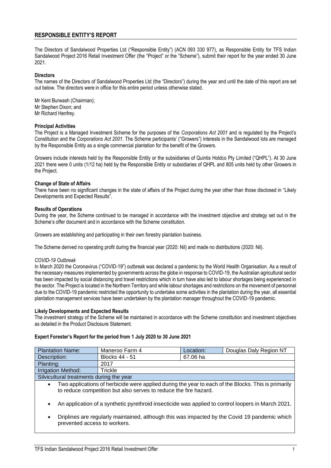# **RESPONSIBLE ENTITY'S REPORT**

The Directors of Sandalwood Properties Ltd ("Responsible Entity") (ACN 093 330 977), as Responsible Entity for TFS Indian Sandalwood Project 2016 Retail Investment Offer (the "Project" or the "Scheme"), submit their report for the year ended 30 June 2021.

# **Directors**

The names of the Directors of Sandalwood Properties Ltd (the "Directors") during the year and until the date of this report are set out below. The directors were in office for this entire period unless otherwise stated.

Mr Kent Burwash (Chairman); Mr Stephen Dixon; and Mr Richard Henfrey.

### **Principal Activities**

The Project is a Managed Investment Scheme for the purposes of the *Corporations Act 2001* and is regulated by the Project's Constitution and the *Corporations Act 2001*. The Scheme participants' ("Growers") interests in the Sandalwood lots are managed by the Responsible Entity as a single commercial plantation for the benefit of the Growers.

Growers include interests held by the Responsible Entity or the subsidiaries of Quintis Holdco Pty Limited ("QHPL"). At 30 June 2021 there were 0 units (1/12 ha) held by the Responsible Entity or subsidiaries of QHPL and 805 units held by other Growers in the Project.

# **Change of State of Affairs**

There have been no significant changes in the state of affairs of the Project during the year other than those disclosed in "Likely Developments and Expected Results".

### **Results of Operations**

During the year, the Scheme continued to be managed in accordance with the investment objective and strategy set out in the Scheme's offer document and in accordance with the Scheme constitution.

Growers are establishing and participating in their own forestry plantation business.

The Scheme derived no operating profit during the financial year (2020: Nil) and made no distributions (2020: Nil).

### *COVID-19 Outbreak*

In March 2020 the Coronavirus ("COVID-19") outbreak was declared a pandemic by the World Health Organisation. As a result of the necessary measures implemented by governments across the globe in response to COVID-19, the Australian agricultural sector has been impacted by social distancing and travel restrictions which in turn have also led to labour shortages being experienced in the sector. The Project is located in the Northern Territory and while labour shortages and restrictions on the movement of personnel due to the COVID-19 pandemic restricted the opportunity to undertake some activities in the plantation during the year, all essential plantation management services have been undertaken by the plantation manager throughout the COVID-19 pandemic.

### **Likely Developments and Expected Results**

The investment strategy of the Scheme will be maintained in accordance with the Scheme constitution and investment objectives as detailed in the Product Disclosure Statement.

### **Expert Forester's Report for the period from 1 July 2020 to 30 June 2021**

| <b>Plantation Name:</b>                                                                                                                                                              | Maneroo Farm 4        | Location: | Douglas Daly Region NT |  |
|--------------------------------------------------------------------------------------------------------------------------------------------------------------------------------------|-----------------------|-----------|------------------------|--|
| Description:                                                                                                                                                                         | <b>Blocks 44 - 51</b> | 67.06 ha  |                        |  |
| Planting:                                                                                                                                                                            | 2017                  |           |                        |  |
| <b>Irrigation Method:</b>                                                                                                                                                            | Trickle               |           |                        |  |
| Silvicultural treatments during the year                                                                                                                                             |                       |           |                        |  |
| Two applications of herbicide were applied during the year to each of the Blocks. This is primarily<br>$\bullet$<br>to reduce competition but also serves to reduce the fire hazard. |                       |           |                        |  |
| An application of a synthetic pyrethroid insecticide was applied to control loopers in March 2021.<br>$\bullet$                                                                      |                       |           |                        |  |
| Driplines are regularly maintained, although this was impacted by the Covid 19 pandemic which<br>٠<br>prevented access to workers.                                                   |                       |           |                        |  |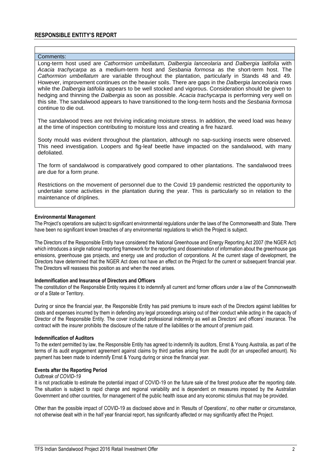# **RESPONSIBLE ENTITY'S REPORT**

#### Comments:

Long-term host used are *Cathormion umbellatum, Dalbergia lanceolaria* and *Dalbergia latifolia* with *Acacia trachycarpa* as a medium-term host and *Sesbania formosa* as the short-term host. The *Cathormion umbellatum* are variable throughout the plantation, particularly in Stands 48 and 49. However, improvement continues on the heavier soils. There are gaps in the *Dalbergia lanceolaria* rows while the *Dalbergia latifolia* appears to be well stocked and vigorous. Consideration should be given to hedging and thinning the *Dalbergia* as soon as possible. *Acacia trachycarpa* is performing very well on this site. The sandalwood appears to have transitioned to the long-term hosts and the *Sesbania formosa* continue to die out.

The sandalwood trees are not thriving indicating moisture stress. In addition, the weed load was heavy at the time of inspection contributing to moisture loss and creating a fire hazard.

Sooty mould was evident throughout the plantation, although no sap-sucking insects were observed. This need investigation. Loopers and fig-leaf beetle have impacted on the sandalwood, with many defoliated.

The form of sandalwood is comparatively good compared to other plantations. The sandalwood trees are due for a form prune.

Restrictions on the movement of personnel due to the Covid 19 pandemic restricted the opportunity to undertake some activities in the plantation during the year. This is particularly so in relation to the maintenance of driplines.

#### **Environmental Management**

The Project's operations are subject to significant environmental regulations under the laws of the Commonwealth and State. There have been no significant known breaches of any environmental regulations to which the Project is subject.

The Directors of the Responsible Entity have considered the National Greenhouse and Energy Reporting Act 2007 (the NGER Act) which introduces a single national reporting framework for the reporting and dissemination of information about the greenhouse gas emissions, greenhouse gas projects, and energy use and production of corporations. At the current stage of development, the Directors have determined that the NGER Act does not have an effect on the Project for the current or subsequent financial year. The Directors will reassess this position as and when the need arises.

### **Indemnification and Insurance of Directors and Officers**

The constitution of the Responsible Entity requires it to indemnify all current and former officers under a law of the Commonwealth or of a State or Territory.

During or since the financial year, the Responsible Entity has paid premiums to insure each of the Directors against liabilities for costs and expenses incurred by them in defending any legal proceedings arising out of their conduct while acting in the capacity of Director of the Responsible Entity. The cover included professional indemnity as well as Directors' and officers' insurance. The contract with the insurer prohibits the disclosure of the nature of the liabilities or the amount of premium paid.

### **Indemnification of Auditors**

To the extent permitted by law, the Responsible Entity has agreed to indemnify its auditors, Ernst & Young Australia, as part of the terms of its audit engagement agreement against claims by third parties arising from the audit (for an unspecified amount). No payment has been made to indemnify Ernst & Young during or since the financial year.

#### **Events after the Reporting Period**

#### *Outbreak of COVID-19*

It is not practicable to estimate the potential impact of COVID-19 on the future sale of the forest produce after the reporting date. The situation is subject to rapid change and regional variability and is dependent on measures imposed by the Australian Government and other countries, for management of the public health issue and any economic stimulus that may be provided.

Other than the possible impact of COVID-19 as disclosed above and in 'Results of Operations', no other matter or circumstance, not otherwise dealt with in the half year financial report, has significantly affected or may significantly affect the Project.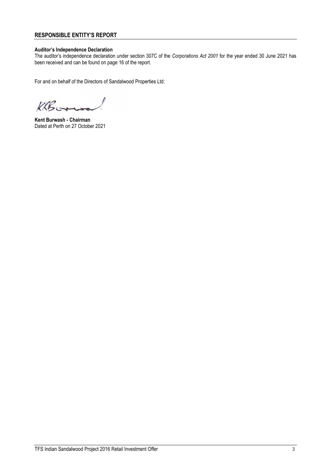# **RESPONSIBLE ENTITY'S REPORT**

# **Auditor's Independence Declaration**

The auditor's independence declaration under section 307C of the *Corporations Act 2001* for the year ended 30 June 2021 has been received and can be found on page 16 of the report.

For and on behalf of the Directors of Sandalwood Properties Ltd:

KRGGrove

**Kent Burwash - Chairman** Dated at Perth on 27 October 2021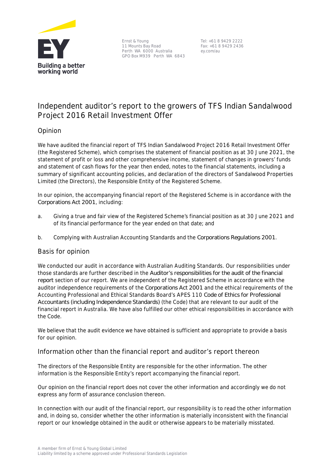

Ernst & Young 11 Mounts Bay Road Perth WA 6000 Australia GPO Box M939 Perth WA 6843

Tel: +61 8 9429 2222 Fax: +61 8 9429 2436 ey.com/au

# **Independent auditor's report to the growers of TFS Indian Sandalwood Project 2016 Retail Investment Offer**

# **Opinion**

We have audited the financial report of TFS Indian Sandalwood Project 2016 Retail Investment Offer (the Registered Scheme), which comprises the statement of financial position as at 30 June 2021, the statement of profit or loss and other comprehensive income, statement of changes in growers' funds and statement of cash flows for the year then ended, notes to the financial statements, including a summary of significant accounting policies, and declaration of the directors of Sandalwood Properties Limited (the Directors), the Responsible Entity of the Registered Scheme.

In our opinion, the accompanying financial report of the Registered Scheme is in accordance with the *Corporations Act 2001*, including:

- a. Giving a true and fair view of the Registered Scheme's financial position as at 30 June 2021 and of its financial performance for the year ended on that date; and
- b. Complying with Australian Accounting Standards and the *Corporations Regulations 2001*.

# **Basis for opinion**

We conducted our audit in accordance with Australian Auditing Standards. Our responsibilities under those standards are further described in the *Auditor's responsibilities for the audit of the financial report* section of our report. We are independent of the Registered Scheme in accordance with the auditor independence requirements of the *Corporations Act 2001* and the ethical requirements of the Accounting Professional and Ethical Standards Board's APES 110 *Code of Ethics for Professional Accountants (including Independence Standards)* (the Code) that are relevant to our audit of the financial report in Australia. We have also fulfilled our other ethical responsibilities in accordance with the Code.

We believe that the audit evidence we have obtained is sufficient and appropriate to provide a basis for our opinion.

# **Information other than the financial report and auditor's report thereon**

The directors of the Responsible Entity are responsible for the other information. The other information is the Responsible Entity's report accompanying the financial report.

Our opinion on the financial report does not cover the other information and accordingly we do not express any form of assurance conclusion thereon.

In connection with our audit of the financial report, our responsibility is to read the other information and, in doing so, consider whether the other information is materially inconsistent with the financial report or our knowledge obtained in the audit or otherwise appears to be materially misstated.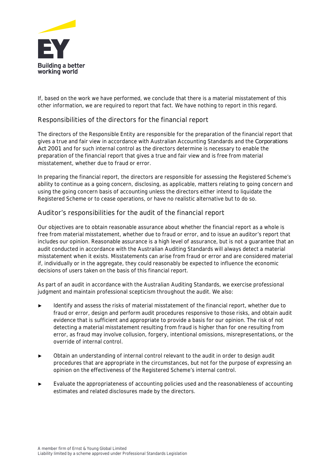

If, based on the work we have performed, we conclude that there is a material misstatement of this other information, we are required to report that fact. We have nothing to report in this regard.

# **Responsibilities of the directors for the financial report**

The directors of the Responsible Entity are responsible for the preparation of the financial report that gives a true and fair view in accordance with Australian Accounting Standards and the *Corporations Act 2001* and for such internal control as the directors determine is necessary to enable the preparation of the financial report that gives a true and fair view and is free from material misstatement, whether due to fraud or error.

In preparing the financial report, the directors are responsible for assessing the Registered Scheme's ability to continue as a going concern, disclosing, as applicable, matters relating to going concern and using the going concern basis of accounting unless the directors either intend to liquidate the Registered Scheme or to cease operations, or have no realistic alternative but to do so.

# **Auditor's responsibilities for the audit of the financial report**

Our objectives are to obtain reasonable assurance about whether the financial report as a whole is free from material misstatement, whether due to fraud or error, and to issue an auditor's report that includes our opinion. Reasonable assurance is a high level of assurance, but is not a guarantee that an audit conducted in accordance with the Australian Auditing Standards will always detect a material misstatement when it exists. Misstatements can arise from fraud or error and are considered material if, individually or in the aggregate, they could reasonably be expected to influence the economic decisions of users taken on the basis of this financial report.

As part of an audit in accordance with the Australian Auditing Standards, we exercise professional judgment and maintain professional scepticism throughout the audit. We also:

- Identify and assess the risks of material misstatement of the financial report, whether due to fraud or error, design and perform audit procedures responsive to those risks, and obtain audit evidence that is sufficient and appropriate to provide a basis for our opinion. The risk of not detecting a material misstatement resulting from fraud is higher than for one resulting from error, as fraud may involve collusion, forgery, intentional omissions, misrepresentations, or the override of internal control.
- ► Obtain an understanding of internal control relevant to the audit in order to design audit procedures that are appropriate in the circumstances, but not for the purpose of expressing an opinion on the effectiveness of the Registered Scheme's internal control.
- Evaluate the appropriateness of accounting policies used and the reasonableness of accounting estimates and related disclosures made by the directors.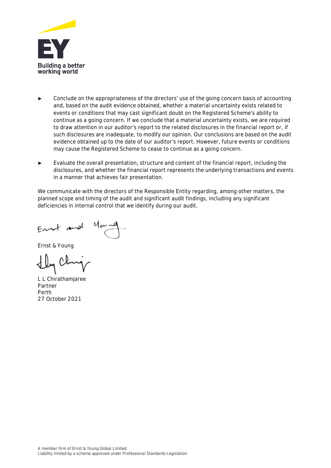

- Conclude on the appropriateness of the directors' use of the going concern basis of accounting and, based on the audit evidence obtained, whether a material uncertainty exists related to events or conditions that may cast significant doubt on the Registered Scheme's ability to continue as a going concern. If we conclude that a material uncertainty exists, we are required to draw attention in our auditor's report to the related disclosures in the financial report or, if such disclosures are inadequate, to modify our opinion. Our conclusions are based on the audit evidence obtained up to the date of our auditor's report. However, future events or conditions may cause the Registered Scheme to cease to continue as a going concern.
- Evaluate the overall presentation, structure and content of the financial report, including the disclosures, and whether the financial report represents the underlying transactions and events in a manner that achieves fair presentation.

We communicate with the directors of the Responsible Entity regarding, among other matters, the planned scope and timing of the audit and significant audit findings, including any significant deficiencies in internal control that we identify during our audit.

Ernst & Young

Lly Cl

L L Chirathamjaree Partner Perth 27 October 2021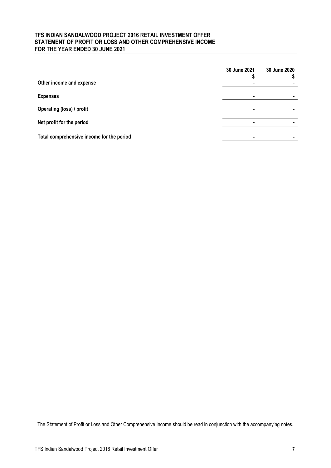# **TFS INDIAN SANDALWOOD PROJECT 2016 RETAIL INVESTMENT OFFER STATEMENT OF PROFIT OR LOSS AND OTHER COMPREHENSIVE INCOME FOR THE YEAR ENDED 30 JUNE 2021**

|                                           | 30 June 2021             | 30 June 2020 |
|-------------------------------------------|--------------------------|--------------|
| Other income and expense                  | $\overline{\phantom{0}}$ |              |
| <b>Expenses</b>                           | $\overline{\phantom{0}}$ |              |
| Operating (loss) / profit                 | ٠                        |              |
| Net profit for the period                 |                          |              |
| Total comprehensive income for the period |                          |              |
|                                           |                          |              |

The Statement of Profit or Loss and Other Comprehensive Income should be read in conjunction with the accompanying notes.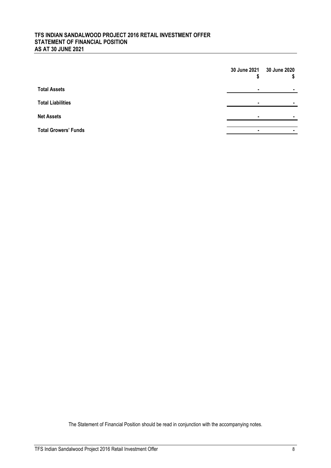# **TFS INDIAN SANDALWOOD PROJECT 2016 RETAIL INVESTMENT OFFER STATEMENT OF FINANCIAL POSITION AS AT 30 JUNE 2021**

|                             |                | 30 June 2021 30 June 2020 |
|-----------------------------|----------------|---------------------------|
| <b>Total Assets</b>         | $\blacksquare$ | ٠                         |
| <b>Total Liabilities</b>    | ٠              |                           |
| <b>Net Assets</b>           |                |                           |
| <b>Total Growers' Funds</b> | ٠              |                           |

The Statement of Financial Position should be read in conjunction with the accompanying notes.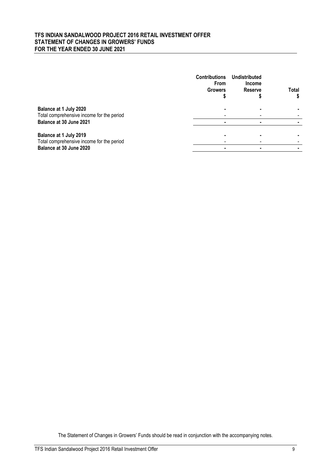# **TFS INDIAN SANDALWOOD PROJECT 2016 RETAIL INVESTMENT OFFER STATEMENT OF CHANGES IN GROWERS' FUNDS FOR THE YEAR ENDED 30 JUNE 2021**

|                                                                     | <b>Contributions</b><br><b>From</b><br><b>Growers</b> | Undistributed<br><b>Income</b><br><b>Reserve</b> | Total |
|---------------------------------------------------------------------|-------------------------------------------------------|--------------------------------------------------|-------|
| Balance at 1 July 2020<br>Total comprehensive income for the period |                                                       |                                                  |       |
| Balance at 30 June 2021                                             |                                                       |                                                  |       |
| Balance at 1 July 2019<br>Total comprehensive income for the period |                                                       |                                                  |       |
| Balance at 30 June 2020                                             |                                                       |                                                  |       |

The Statement of Changes in Growers' Funds should be read in conjunction with the accompanying notes.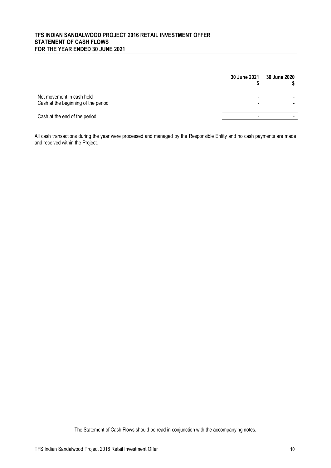# **TFS INDIAN SANDALWOOD PROJECT 2016 RETAIL INVESTMENT OFFER STATEMENT OF CASH FLOWS FOR THE YEAR ENDED 30 JUNE 2021**

|                                                                  | <b>30 June 2021</b>           | <b>30 June 2020</b> |
|------------------------------------------------------------------|-------------------------------|---------------------|
| Net movement in cash held<br>Cash at the beginning of the period | -<br>$\overline{\phantom{0}}$ |                     |
| Cash at the end of the period                                    | -                             |                     |

All cash transactions during the year were processed and managed by the Responsible Entity and no cash payments are made and received within the Project.

The Statement of Cash Flows should be read in conjunction with the accompanying notes.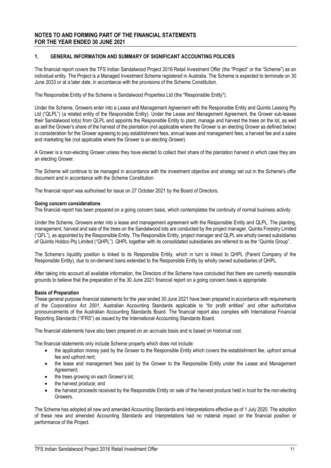# **1. GENERAL INFORMATION AND SUMMARY OF SIGNIFICANT ACCOUNTING POLICIES**

The financial report covers the TFS Indian Sandalwood Project 2016 Retail Investment Offer (the "Project" or the "Scheme") as an individual entity. The Project is a Managed Investment Scheme registered in Australia. The Scheme is expected to terminate on 30 June 2033 or at a later date, in accordance with the provisions of the Scheme Constitution.

The Responsible Entity of the Scheme is Sandalwood Properties Ltd (the "Responsible Entity").

Under the Scheme, Growers enter into a Lease and Management Agreement with the Responsible Entity and Quintis Leasing Pty Ltd ("QLPL") (a related entity of the Responsible Entity). Under the Lease and Management Agreement, the Grower sub-leases their Sandalwood lot(s) from QLPL and appoints the Responsible Entity to plant, manage and harvest the trees on the lot, as well as sell the Grower's share of the harvest of the plantation (not applicable where the Grower is an electing Grower as defined below) in consideration for the Grower agreeing to pay establishment fees, annual lease and management fees, a harvest fee and a sales and marketing fee (not applicable where the Grower is an electing Grower).

A Grower is a non-electing Grower unless they have elected to collect their share of the plantation harvest in which case they are an electing Grower.

The Scheme will continue to be managed in accordance with the investment objective and strategy set out in the Scheme's offer document and in accordance with the Scheme Constitution.

The financial report was authorised for issue on 27 October 2021 by the Board of Directors.

#### **Going concern considerations**

The financial report has been prepared on a going concern basis, which contemplates the continuity of normal business activity.

Under the Scheme, Growers enter into a lease and management agreement with the Responsible Entity and QLPL. The planting, management, harvest and sale of the trees on the Sandalwood lots are conducted by the project manager, Quintis Forestry Limited ("QFL"), as appointed by the Responsible Entity. The Responsible Entity, project manager and QLPL are wholly owned subsidiaries of Quintis Holdco Pty Limited ("QHPL"). QHPL together with its consolidated subsidiaries are referred to as the "Quintis Group".

The Scheme's liquidity position is linked to its Responsible Entity, which in turn is linked to QHPL (Parent Company of the Responsible Entity), due to on-demand loans extended to the Responsible Entity by wholly owned subsidiaries of QHPL.

After taking into account all available information, the Directors of the Scheme have concluded that there are currently reasonable grounds to believe that the preparation of the 30 June 2021 financial report on a going concern basis is appropriate.

#### **Basis of Preparation**

These general purpose financial statements for the year ended 30 June 2021 have been prepared in accordance with requirements of the *Corporations Act 2001*, Australian Accounting Standards applicable to "for profit entities" and other authoritative pronouncements of the Australian Accounting Standards Board. The financial report also complies with International Financial Reporting Standards ("IFRS") as issued by the International Accounting Standards Board.

The financial statements have also been prepared on an accruals basis and is based on historical cost.

The financial statements only include Scheme property which does not include:

- the application money paid by the Grower to the Responsible Entity which covers the establishment fee, upfront annual fee and upfront rent;
- the lease and management fees paid by the Grower to the Responsible Entity under the Lease and Management Agreement;
- the trees growing on each Grower's lot;
- the harvest produce; and
- the harvest proceeds received by the Responsible Entity on sale of the harvest produce held in trust for the non-electing Growers.

The Scheme has adopted all new and amended Accounting Standards and Interpretations effective as of 1 July 2020. The adoption of these new and amended Accounting Standards and Interpretations had no material impact on the financial position or performance of the Project.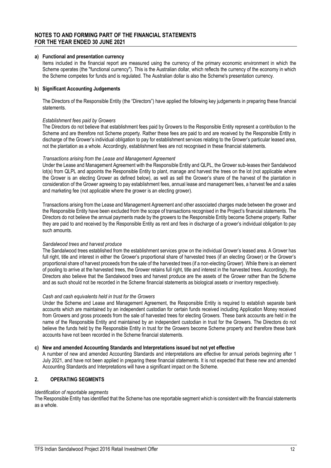#### **a) Functional and presentation currency**

Items included in the financial report are measured using the currency of the primary economic environment in which the Scheme operates (the "functional currency"). This is the Australian dollar, which reflects the currency of the economy in which the Scheme competes for funds and is regulated. The Australian dollar is also the Scheme's presentation currency.

### **b) Significant Accounting Judgements**

The Directors of the Responsible Entity (the "Directors") have applied the following key judgements in preparing these financial statements.

#### *Establishment fees paid by Growers*

The Directors do not believe that establishment fees paid by Growers to the Responsible Entity represent a contribution to the Scheme and are therefore not Scheme property. Rather these fees are paid to and are received by the Responsible Entity in discharge of the Grower's individual obligation to pay for establishment services relating to the Grower's particular leased area, not the plantation as a whole. Accordingly, establishment fees are not recognised in these financial statements.

#### *Transactions arising from the Lease and Management Agreement*

Under the Lease and Management Agreement with the Responsible Entity and QLPL, the Grower sub-leases their Sandalwood lot(s) from QLPL and appoints the Responsible Entity to plant, manage and harvest the trees on the lot (not applicable where the Grower is an electing Grower as defined below), as well as sell the Grower's share of the harvest of the plantation in consideration of the Grower agreeing to pay establishment fees, annual lease and management fees, a harvest fee and a sales and marketing fee (not applicable where the grower is an electing grower).

Transactions arising from the Lease and Management Agreement and other associated charges made between the grower and the Responsible Entity have been excluded from the scope of transactions recognised in the Project's financial statements. The Directors do not believe the annual payments made by the growers to the Responsible Entity become Scheme property. Rather they are paid to and received by the Responsible Entity as rent and fees in discharge of a grower's individual obligation to pay such amounts.

#### *Sandalwood trees and harvest produce*

The Sandalwood trees established from the establishment services grow on the individual Grower's leased area. A Grower has full right, title and interest in either the Grower's proportional share of harvested trees (if an electing Grower) or the Grower's proportional share of harvest proceeds from the sale of the harvested trees (if a non-electing Grower). While there is an element of pooling to arrive at the harvested trees, the Grower retains full right, title and interest in the harvested trees. Accordingly, the Directors also believe that the Sandalwood trees and harvest produce are the assets of the Grower rather than the Scheme and as such should not be recorded in the Scheme financial statements as biological assets or inventory respectively.

#### *Cash and cash equivalents held in trust for the Growers*

Under the Scheme and Lease and Management Agreement, the Responsible Entity is required to establish separate bank accounts which are maintained by an independent custodian for certain funds received including Application Money received from Growers and gross proceeds from the sale of harvested trees for electing Growers. These bank accounts are held in the name of the Responsible Entity and maintained by an independent custodian in trust for the Growers. The Directors do not believe the funds held by the Responsible Entity in trust for the Growers become Scheme property and therefore these bank accounts have not been recorded in the Scheme financial statements.

### **c) New and amended Accounting Standards and Interpretations issued but not yet effective**

A number of new and amended Accounting Standards and interpretations are effective for annual periods beginning after 1 July 2021, and have not been applied in preparing these financial statements. It is not expected that these new and amended Accounting Standards and Interpretations will have a significant impact on the Scheme.

### **2. OPERATING SEGMENTS**

#### *Identification of reportable segments*

The Responsible Entity has identified that the Scheme has one reportable segment which is consistent with the financial statements as a whole.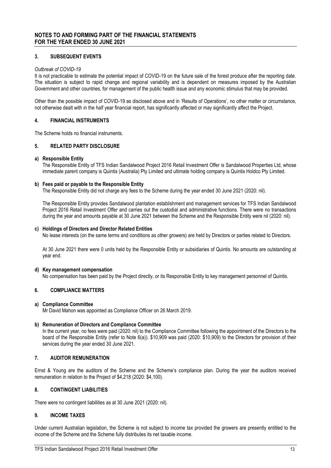# **3. SUBSEQUENT EVENTS**

### *Outbreak of COVID-19*

It is not practicable to estimate the potential impact of COVID-19 on the future sale of the forest produce after the reporting date. The situation is subject to rapid change and regional variability and is dependent on measures imposed by the Australian Government and other countries, for management of the public health issue and any economic stimulus that may be provided.

Other than the possible impact of COVID-19 as disclosed above and in 'Results of Operations', no other matter or circumstance, not otherwise dealt with in the half year financial report, has significantly affected or may significantly affect the Project.

# **4. FINANCIAL INSTRUMENTS**

The Scheme holds no financial instruments.

# **5. RELATED PARTY DISCLOSURE**

#### **a) Responsible Entity**

The Responsible Entity of TFS Indian Sandalwood Project 2016 Retail Investment Offer is Sandalwood Properties Ltd, whose immediate parent company is Quintis (Australia) Pty Limited and ultimate holding company is Quintis Holdco Pty Limited.

#### **b) Fees paid or payable to the Responsible Entity**

The Responsible Entity did not charge any fees to the Scheme during the year ended 30 June 2021 (2020: nil).

The Responsible Entity provides Sandalwood plantation establishment and management services for TFS Indian Sandalwood Project 2016 Retail Investment Offer and carries out the custodial and administrative functions. There were no transactions during the year and amounts payable at 30 June 2021 between the Scheme and the Responsible Entity were nil (2020: nil).

#### **c) Holdings of Directors and Director Related Entities**

No lease interests (on the same terms and conditions as other growers) are held by Directors or parties related to Directors.

At 30 June 2021 there were 0 units held by the Responsible Entity or subsidiaries of Quintis. No amounts are outstanding at year end.

#### **d) Key management compensation**

No compensation has been paid by the Project directly, or its Responsible Entity to key management personnel of Quintis.

### **6. COMPLIANCE MATTERS**

### **a) Compliance Committee**

Mr David Mahon was appointed as Compliance Officer on 26 March 2019.

### **b) Remuneration of Directors and Compliance Committee**

In the current year, no fees were paid (2020: nil) to the Compliance Committee following the appointment of the Directors to the board of the Responsible Entity (refer to Note 6(a)). \$10,909 was paid (2020: \$10,909) to the Directors for provision of their services during the year ended 30 June 2021.

# **7. AUDITOR REMUNERATION**

Ernst & Young are the auditors of the Scheme and the Scheme's compliance plan. During the year the auditors received remuneration in relation to the Project of \$4,218 (2020: \$4,100).

# **8. CONTINGENT LIABILITIES**

There were no contingent liabilities as at 30 June 2021 (2020: nil).

### **9. INCOME TAXES**

Under current Australian legislation, the Scheme is not subject to income tax provided the growers are presently entitled to the income of the Scheme and the Scheme fully distributes its net taxable income.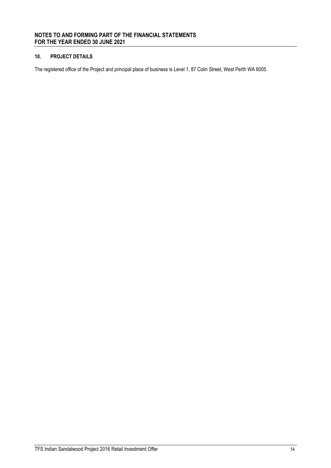# **10. PROJECT DETAILS**

The registered office of the Project and principal place of business is Level 1, 87 Colin Street, West Perth WA 6005.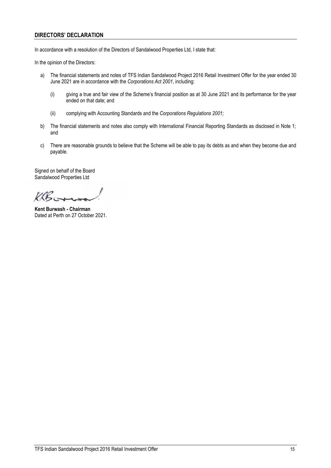# **DIRECTORS' DECLARATION**

In accordance with a resolution of the Directors of Sandalwood Properties Ltd, I state that:

In the opinion of the Directors:

- a) The financial statements and notes of TFS Indian Sandalwood Project 2016 Retail Investment Offer for the year ended 30 June 2021 are in accordance with the *Corporations Act 2001*, including:
	- (i) giving a true and fair view of the Scheme's financial position as at 30 June 2021 and its performance for the year ended on that date; and
	- (ii) complying with Accounting Standards and the *Corporations Regulations 2001;*
- b) The financial statements and notes also comply with International Financial Reporting Standards as disclosed in Note 1; and
- c) There are reasonable grounds to believe that the Scheme will be able to pay its debts as and when they become due and payable.

Signed on behalf of the Board Sandalwood Properties Ltd

KB.

**Kent Burwash - Chairman** Dated at Perth on 27 October 2021.